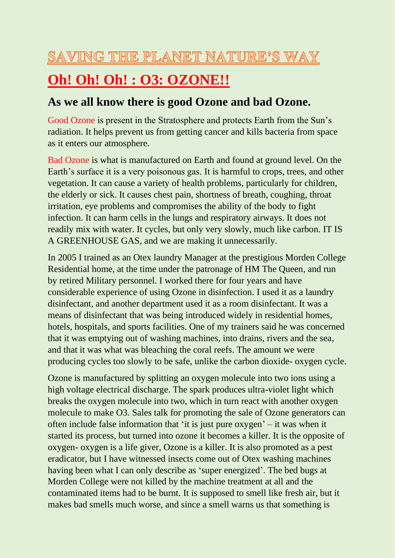#### SAVING THE PLANET NATURE'S WAY

# **Oh! Oh! Oh! : O3: OZONE!!**

#### **As we all know there is good Ozone and bad Ozone.**

Good Ozone is present in the Stratosphere and protects Earth from the Sun's radiation. It helps prevent us from getting cancer and kills bacteria from space as it enters our atmosphere.

Bad Ozone is what is manufactured on Earth and found at ground level. On the Earth's surface it is a very poisonous gas. It is harmful to crops, trees, and other vegetation. It can cause a variety of health problems, particularly for children, the elderly or sick. It causes chest pain, shortness of breath, coughing, throat irritation, eye problems and compromises the ability of the body to fight infection. It can harm cells in the lungs and respiratory airways. It does not readily mix with water. It cycles, but only very slowly, much like carbon. IT IS A GREENHOUSE GAS, and we are making it unnecessarily.

In 2005 I trained as an Otex laundry Manager at the prestigious Morden College Residential home, at the time under the patronage of HM The Queen, and run by retired Military personnel. I worked there for four years and have considerable experience of using Ozone in disinfection. I used it as a laundry disinfectant, and another department used it as a room disinfectant. It was a means of disinfectant that was being introduced widely in residential homes, hotels, hospitals, and sports facilities. One of my trainers said he was concerned that it was emptying out of washing machines, into drains, rivers and the sea, and that it was what was bleaching the coral reefs. The amount we were producing cycles too slowly to be safe, unlike the carbon dioxide- oxygen cycle.

Ozone is manufactured by splitting an oxygen molecule into two ions using a high voltage electrical discharge. The spark produces ultra-violet light which breaks the oxygen molecule into two, which in turn react with another oxygen molecule to make O3. Sales talk for promoting the sale of Ozone generators can often include false information that 'it is just pure oxygen' – it was when it started its process, but turned into ozone it becomes a killer. It is the opposite of oxygen- oxygen is a life giver, Ozone is a killer. It is also promoted as a pest eradicator, but I have witnessed insects come out of Otex washing machines having been what I can only describe as 'super energized'. The bed bugs at Morden College were not killed by the machine treatment at all and the contaminated items had to be burnt. It is supposed to smell like fresh air, but it makes bad smells much worse, and since a smell warns us that something is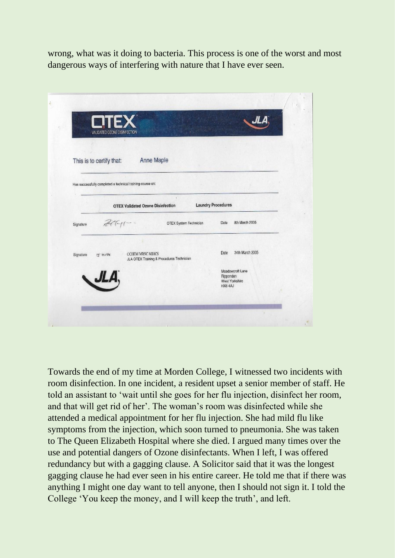wrong, what was it doing to bacteria. This process is one of the worst and most dangerous ways of interfering with nature that I have ever seen.

| <b>ETEX</b>                                                                                 |                                                           |
|---------------------------------------------------------------------------------------------|-----------------------------------------------------------|
| VALIDATED OZONE DISINFECTION                                                                |                                                           |
| <b>Anne Maple</b><br>This is to certify that:                                               |                                                           |
| Has successfully completed a technical training course on:                                  |                                                           |
| <b>OTEX Validated Ozone Disinfection</b>                                                    | <b>Laundry Procedures</b>                                 |
| $296 -$<br>OTEX System Technician<br>Signature                                              | 8th March 2005<br>Date                                    |
|                                                                                             |                                                           |
| <b>CCHEM MRSC MBICS</b><br>Signature<br>J HOTK<br>JLA OTEX Training & Procedures Technician | 24th March 2005<br>Date                                   |
| JLA.                                                                                        | Meadowcroft Lane<br>Ripponden<br>West Yorkshire<br>HX64AJ |
|                                                                                             |                                                           |

Towards the end of my time at Morden College, I witnessed two incidents with room disinfection. In one incident, a resident upset a senior member of staff. He told an assistant to 'wait until she goes for her flu injection, disinfect her room, and that will get rid of her'. The woman's room was disinfected while she attended a medical appointment for her flu injection. She had mild flu like symptoms from the injection, which soon turned to pneumonia. She was taken to The Queen Elizabeth Hospital where she died. I argued many times over the use and potential dangers of Ozone disinfectants. When I left, I was offered redundancy but with a gagging clause. A Solicitor said that it was the longest gagging clause he had ever seen in his entire career. He told me that if there was anything I might one day want to tell anyone, then I should not sign it. I told the College 'You keep the money, and I will keep the truth', and left.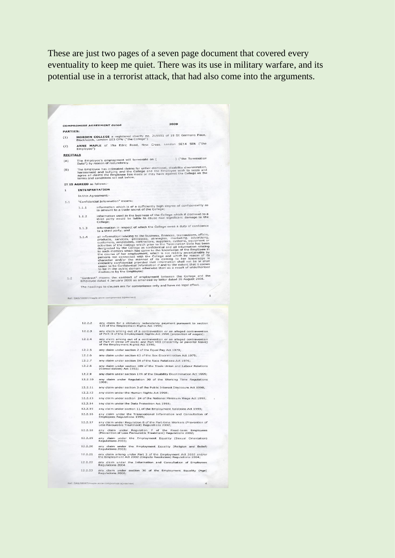These are just two pages of a seven page document that covered every eventuality to keep me quiet. There was its use in military warfare, and its potential use in a terrorist attack, that had also come into the arguments.

2009 **COMPROMISE AGREEMENT dated** PARTIES: 1ES:<br>MORDEN COLLEGE a registered charity no. 215551 of 19 St Germans Place,<br>Blackheath, London SE3 OPW ("the College")  $(1)$ Blackheath, London SE3 UPW ("the Conege")<br>ANNE MAPLE of 15a Edric Road, New Cross, London SE14 5EN ("the<br>Employee")  $(2)$ RECITALS The Employee's employment will terminate on [<br>Date") by reason of redundancy. ] ("the Termination  $(A)$ bace you consume that infinited claims for unfair dismissal, disability discrimination, the Employee mass intimated claims for unfair dismissal, disability discrimination, harassment and bullying and the College and the Em  $(B)$ IT IS AGREED as follows:-INTERPRETATION  $\mathbf{1}$ In this Agreement: "Confidential Information" means:  $11$ "Confidential Information Integrals<br>1.1.1 Information which is of a sufficiently high degree of confidentiality as<br>to amount to a trade secret of the College; information used in the business of the College which if disclosed to a<br>third party would be liable to cause real significant damage to the<br>College;  $1.1.2$ College;<br>1.1.3 information in respect of which the College owes a duty of confidence<br>to a third party; and 1.1.3 to that antroportion creating to the business, finances, transactions, affairs, and information relating to the business, finances, cransactions, affairs, products, services, processes, strategies, constanting, distr "Contract" means the contract of employment between the College and the<br>Employee dated 4 January 2006 as amended by letter dated 26 August 2008.  $1.2$ The headings to clauses are for convenience only and have no legal effect. 12.2.2 any claim for a statutory redundancy payment pursuant to section<br>135 of the Employment Binhts Art 1996; 12.2.3 any claim arising out of a contravention or an alleged contravention<br>of Part II of the Employment Rights Act 1996 (protection of wages); 12.2.4 any claim arising out of a contravention or an alleged contravention of Part VI (time off work) and Part VIII (maternity or parental leave) of the Employment Rights Act 1996; 12.2.5 any claim under section 2 of the Equal Pay Act 1970;  $12.2.6$ any claim under section 63 of the Sex Discrimination Act 1975; 12.2.7 any claim under section 54 of the Race Relations Act 1976:  $12.2.8$ any claim under section 189 of the Trade Union and Labour Relations<br>(Consolidation) Act 1992; 12.2.9 any claim under section 17A of the Disability Discrimination Act 1995; 12.2.10 any claim under Regulation 30 of the Working Time Regulations<br>1998; 12.2.11 any claim under section 3 of the Public Interest Disclosure Act 1998; 12.2.12 any claim under the Human Rights Act 1998; 12.2.13 any claim under section 24 of the National Minimum Wage Act 1998; 12.2.14 any claim under the Data Protection Act 1998; 12.2.15 any claim under section 11 of the Employment Relations Act 1999; 12.2.16 any claim under the Transnational Information and Consultation of<br>Employees Regulations 1999; 12.2.17 any claim under Regulation 8 of the Part-time Workers (Prevention of<br>Less Favourable Treatment) Regulations 2002; 12.2.18 any claim under Regulation 7 of the Fixed-term Employees<br>(Prevention of Less Favourable Treatment) Regulations 2002; 12.2.19 any claim under the Employment Equality (Sexual Orientation)<br>Regulations 2003: 12.2.20 any claim under the Employment Equality (Religion and Belief)<br>Requiations 2003: 12.2.21 any claim arising under Part 3 of the Employment Act 2002 and/or<br>the Employment Act 2002 (Dispute Resolution) Regulations 2004; 12.2.22 any claim under the Information and Consultation of Employees 12.2.23 any claim under section 36 of the Employment Equality (Age)<br>Regulations 2006;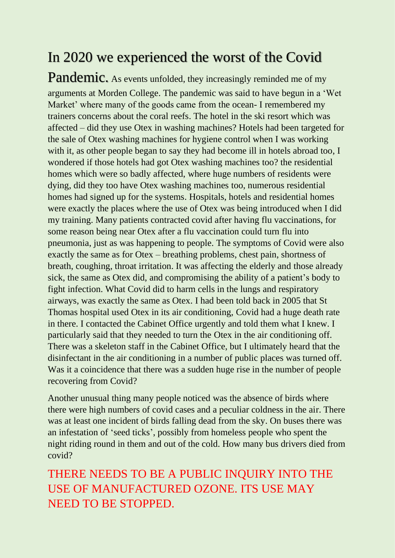### In 2020 we experienced the worst of the Covid

Pandemic. As events unfolded, they increasingly reminded me of my arguments at Morden College. The pandemic was said to have begun in a 'Wet Market' where many of the goods came from the ocean- I remembered my trainers concerns about the coral reefs. The hotel in the ski resort which was affected – did they use Otex in washing machines? Hotels had been targeted for the sale of Otex washing machines for hygiene control when I was working with it, as other people began to say they had become ill in hotels abroad too, I wondered if those hotels had got Otex washing machines too? the residential homes which were so badly affected, where huge numbers of residents were dying, did they too have Otex washing machines too, numerous residential homes had signed up for the systems. Hospitals, hotels and residential homes were exactly the places where the use of Otex was being introduced when I did my training. Many patients contracted covid after having flu vaccinations, for some reason being near Otex after a flu vaccination could turn flu into pneumonia, just as was happening to people. The symptoms of Covid were also exactly the same as for Otex – breathing problems, chest pain, shortness of breath, coughing, throat irritation. It was affecting the elderly and those already sick, the same as Otex did, and compromising the ability of a patient's body to fight infection. What Covid did to harm cells in the lungs and respiratory airways, was exactly the same as Otex. I had been told back in 2005 that St Thomas hospital used Otex in its air conditioning, Covid had a huge death rate in there. I contacted the Cabinet Office urgently and told them what I knew. I particularly said that they needed to turn the Otex in the air conditioning off. There was a skeleton staff in the Cabinet Office, but I ultimately heard that the disinfectant in the air conditioning in a number of public places was turned off. Was it a coincidence that there was a sudden huge rise in the number of people recovering from Covid?

Another unusual thing many people noticed was the absence of birds where there were high numbers of covid cases and a peculiar coldness in the air. There was at least one incident of birds falling dead from the sky. On buses there was an infestation of 'seed ticks', possibly from homeless people who spent the night riding round in them and out of the cold. How many bus drivers died from covid?

THERE NEEDS TO BE A PUBLIC INQUIRY INTO THE USE OF MANUFACTURED OZONE. ITS USE MAY NEED TO BE STOPPED.